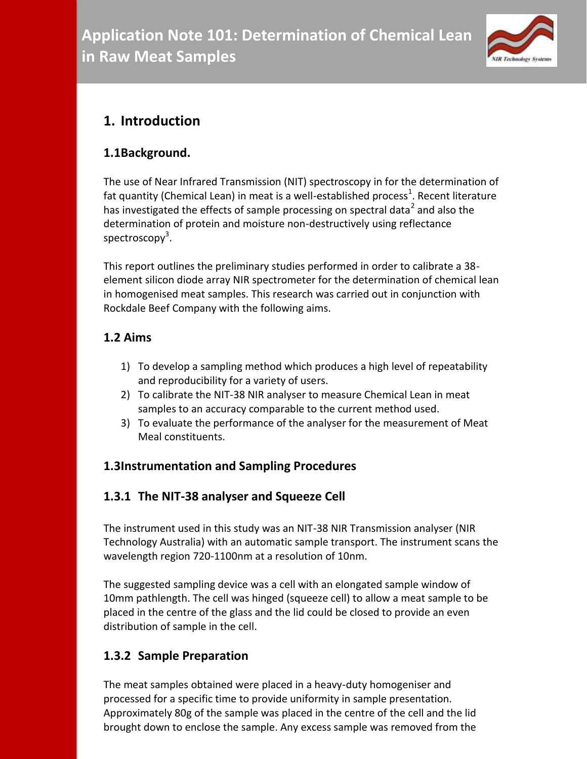

# **1. Introduction**

# **1.1Background.**

The use of Near Infrared Transmission (NIT) spectroscopy in for the determination of fat quantity (Chemical Lean) in meat is a well-established process<sup>1</sup>. Recent literature has investigated the effects of sample processing on spectral data<sup>2</sup> and also the determination of protein and moisture non-destructively using reflectance spectroscopy<sup>3</sup>.

This report outlines the preliminary studies performed in order to calibrate a 38 element silicon diode array NIR spectrometer for the determination of chemical lean in homogenised meat samples. This research was carried out in conjunction with Rockdale Beef Company with the following aims.

# **1.2 Aims**

- 1) To develop a sampling method which produces a high level of repeatability and reproducibility for a variety of users.
- 2) To calibrate the NIT-38 NIR analyser to measure Chemical Lean in meat samples to an accuracy comparable to the current method used.
- 3) To evaluate the performance of the analyser for the measurement of Meat Meal constituents.

# **1.3Instrumentation and Sampling Procedures**

# **1.3.1 The NIT-38 analyser and Squeeze Cell**

The instrument used in this study was an NIT-38 NIR Transmission analyser (NIR Technology Australia) with an automatic sample transport. The instrument scans the wavelength region 720-1100nm at a resolution of 10nm.

The suggested sampling device was a cell with an elongated sample window of 10mm pathlength. The cell was hinged (squeeze cell) to allow a meat sample to be placed in the centre of the glass and the lid could be closed to provide an even distribution of sample in the cell.

# **1.3.2 Sample Preparation**

The meat samples obtained were placed in a heavy-duty homogeniser and processed for a specific time to provide uniformity in sample presentation. Approximately 80g of the sample was placed in the centre of the cell and the lid brought down to enclose the sample. Any excess sample was removed from the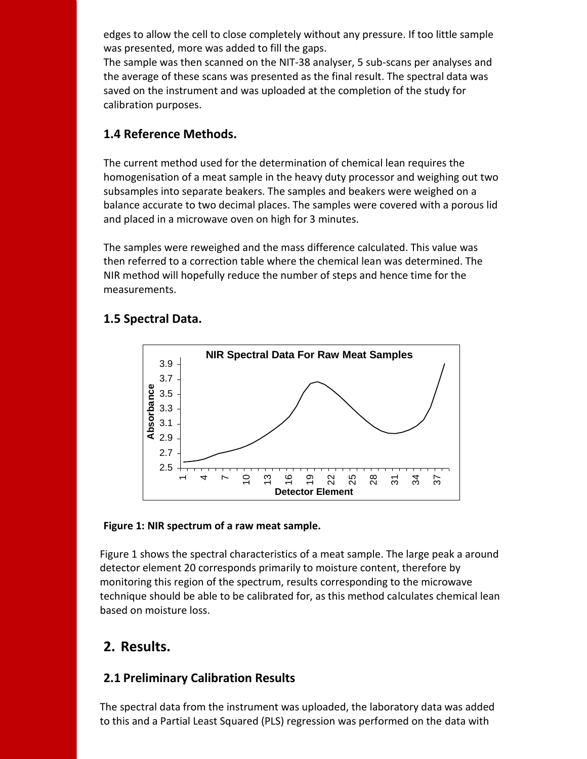edges to allow the cell to close completely without any pressure. If too little sample was presented, more was added to fill the gaps.

The sample was then scanned on the NIT-38 analyser, 5 sub-scans per analyses and the average of these scans was presented as the final result. The spectral data was saved on the instrument and was uploaded at the completion of the study for calibration purposes.

### **1.4 Reference Methods.**

The current method used for the determination of chemical lean requires the homogenisation of a meat sample in the heavy duty processor and weighing out two subsamples into separate beakers. The samples and beakers were weighed on a balance accurate to two decimal places. The samples were covered with a porous lid and placed in a microwave oven on high for 3 minutes.

The samples were reweighed and the mass difference calculated. This value was then referred to a correction table where the chemical lean was determined. The NIR method will hopefully reduce the number of steps and hence time for the measurements.

### **NIR Spectral Data For Raw Meat Samples** 2.5 2.7 2.9 3.1 3.3 3.5 3.7 3.9 **Absorbance**

 $\frac{6}{1}$ 

19

**Detector Element**

 $\mathcal{Z}$ 

25

28

 $\overline{5}$ 

 $\frac{5}{4}$ 

37

### **1.5 Spectral Data.**

#### **Figure 1: NIR spectrum of a raw meat sample.**

4

 $\overline{\phantom{0}}$ 

 $\supseteq$ 

13

 $\bar{}$ 

Figure 1 shows the spectral characteristics of a meat sample. The large peak a around detector element 20 corresponds primarily to moisture content, therefore by monitoring this region of the spectrum, results corresponding to the microwave technique should be able to be calibrated for, as this method calculates chemical lean based on moisture loss.

# **2. Results.**

# **2.1 Preliminary Calibration Results**

The spectral data from the instrument was uploaded, the laboratory data was added to this and a Partial Least Squared (PLS) regression was performed on the data with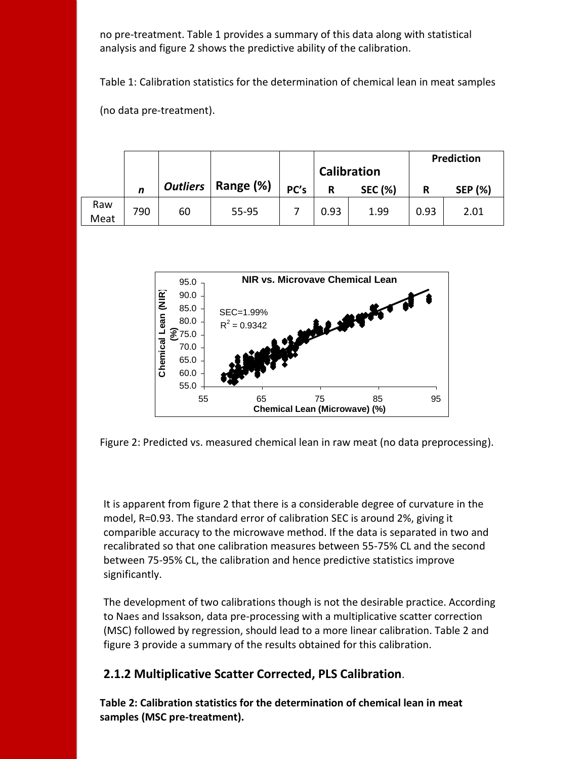no pre-treatment. Table 1 provides a summary of this data along with statistical analysis and figure 2 shows the predictive ability of the calibration.

Table 1: Calibration statistics for the determination of chemical lean in meat samples

(no data pre-treatment).

|             |     |    |                      |      | <b>Calibration</b> |                | Prediction |                |
|-------------|-----|----|----------------------|------|--------------------|----------------|------------|----------------|
|             | n   |    | Outliers   Range (%) | PC's | R                  | <b>SEC (%)</b> | R          | <b>SEP (%)</b> |
| Raw<br>Meat | 790 | 60 | 55-95                |      | 0.93               | 1.99           | 0.93       | 2.01           |



Figure 2: Predicted vs. measured chemical lean in raw meat (no data preprocessing).

It is apparent from figure 2 that there is a considerable degree of curvature in the model, R=0.93. The standard error of calibration SEC is around 2%, giving it comparible accuracy to the microwave method. If the data is separated in two and recalibrated so that one calibration measures between 55-75% CL and the second between 75-95% CL, the calibration and hence predictive statistics improve significantly.

The development of two calibrations though is not the desirable practice. According to Naes and Issakson, data pre-processing with a multiplicative scatter correction (MSC) followed by regression, should lead to a more linear calibration. Table 2 and figure 3 provide a summary of the results obtained for this calibration.

#### **2.1.2 Multiplicative Scatter Corrected, PLS Calibration**.

**Table 2: Calibration statistics for the determination of chemical lean in meat samples (MSC pre-treatment).**